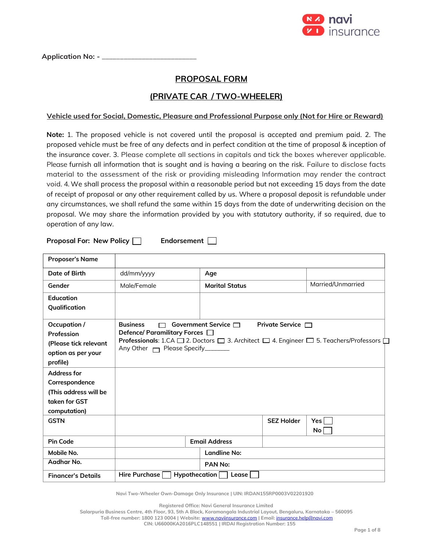

Application No: - \_

# **PROPOSAL FORM**

# **(PRIVATE CAR / TWO-WHEELER)**

### **Vehicle used for Social, Domestic, Pleasure and Professional Purpose only (Not for Hire or Reward)**

**Note:** 1. The proposed vehicle is not covered until the proposal is accepted and premium paid. 2. The proposed vehicle must be free of any defects and in perfect condition at the time of proposal & inception of the insurance cover. 3. Please complete all sections in capitals and tick the boxes wherever applicable. Please furnish all information that is sought and is having a bearing on the risk. Failure to disclose facts material to the assessment of the risk or providing misleading Information may render the contract void. 4. We shall process the proposal within a reasonable period but not exceeding 15 days from the date of receipt of proposal or any other requirement called by us. Where a proposal deposit is refundable under any circumstances, we shall refund the same within 15 days from the date of underwriting decision on the proposal. We may share the information provided by you with statutory authority, if so required, due to operation of any law.

**Proposal For: New Policy | Endorsement** |

| <b>Proposer's Name</b>                                                                         |                                                                                            |                           |                          |                                                                                                                                         |
|------------------------------------------------------------------------------------------------|--------------------------------------------------------------------------------------------|---------------------------|--------------------------|-----------------------------------------------------------------------------------------------------------------------------------------|
| Date of Birth                                                                                  | dd/mm/yyyy                                                                                 | Age                       |                          |                                                                                                                                         |
| Gender                                                                                         | Male/Female                                                                                | <b>Marital Status</b>     |                          | Married/Unmarried                                                                                                                       |
| <b>Education</b><br>Qualification                                                              |                                                                                            |                           |                          |                                                                                                                                         |
| Occupation /<br>Profession<br>(Please tick relevant<br>option as per your<br>profile)          | <b>Business</b><br>Defence/ Paramilitary Forces $\Box$<br>Any Other □ Please Specify______ | Government Service $\Box$ | <b>Private Service</b> □ | <b>Professionals:</b> 1.CA $\square$ 2. Doctors $\square$ 3. Architect $\square$ 4. Engineer $\square$ 5. Teachers/Professors $\square$ |
| <b>Address for</b><br>Correspondence<br>(This address will be<br>taken for GST<br>computation) |                                                                                            |                           |                          |                                                                                                                                         |
| <b>GSTN</b>                                                                                    |                                                                                            |                           | <b>SEZ Holder</b>        | Yes <br>No                                                                                                                              |
| <b>Pin Code</b>                                                                                |                                                                                            | <b>Email Address</b>      |                          |                                                                                                                                         |
| Mobile No.                                                                                     |                                                                                            | <b>Landline No:</b>       |                          |                                                                                                                                         |
| Aadhar No.                                                                                     |                                                                                            | PAN No:                   |                          |                                                                                                                                         |
| <b>Financer's Details</b>                                                                      | Hire Purchase                                                                              | Hypothecation<br>Lease    |                          |                                                                                                                                         |

**Navi Two-Wheeler Own-Damage Only Insurance | UIN: IRDAN155RP0003V02201920**

**Registered Office: Navi General Insurance Limited**

**Salarpuria Business Centre, 4th Floor, 93, 5th A Block, Koramangala Industrial Layout, Bengaluru, Karnataka – 560095**

**Toll-free number: 1800 123 0004 | Website:** [www.naviinsurance.com](http://www.naviinsurance.com/) **| Email:** [insurance.help@navi.com](mailto:insurance.help@navi.com)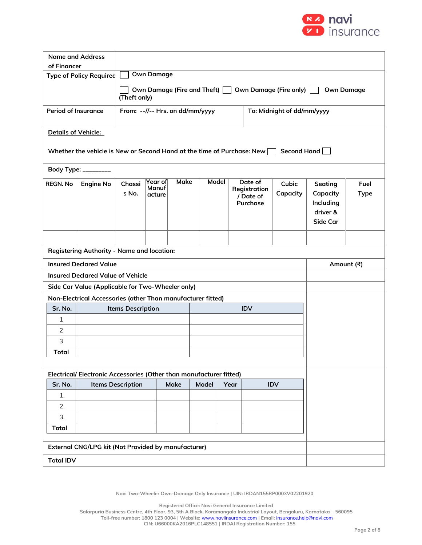

| <b>Name and Address</b>                                    |                                                                                                   |                          |                                                               |             |       |  |                                                  |                   |                                                                 |                     |
|------------------------------------------------------------|---------------------------------------------------------------------------------------------------|--------------------------|---------------------------------------------------------------|-------------|-------|--|--------------------------------------------------|-------------------|-----------------------------------------------------------------|---------------------|
| of Financer                                                |                                                                                                   |                          |                                                               |             |       |  |                                                  |                   |                                                                 |                     |
|                                                            | <b>Type of Policy Required</b>                                                                    |                          | <b>Own Damage</b>                                             |             |       |  |                                                  |                   |                                                                 |                     |
|                                                            | Own Damage (Fire and Theft)<br>Own Damage (Fire only) $\Box$<br><b>Own Damage</b><br>(Theft only) |                          |                                                               |             |       |  |                                                  |                   |                                                                 |                     |
| <b>Period of Insurance</b>                                 |                                                                                                   |                          | From: --//-- Hrs. on dd/mm/yyyy<br>To: Midnight of dd/mm/yyyy |             |       |  |                                                  |                   |                                                                 |                     |
| <b>Details of Vehicle:</b>                                 |                                                                                                   |                          |                                                               |             |       |  |                                                  |                   |                                                                 |                     |
|                                                            | Whether the vehicle is New or Second Hand at the time of Purchase: New $\vert \ \vert$            |                          |                                                               |             |       |  |                                                  | Second Hand       |                                                                 |                     |
|                                                            | Body Type: _________                                                                              |                          |                                                               |             |       |  |                                                  |                   |                                                                 |                     |
| <b>REGN. No</b>                                            | <b>Engine No</b>                                                                                  | Chassi<br>s No.          | Year of<br>Manuf<br>acture                                    | <b>Make</b> | Model |  | Date of<br>Registration<br>/ Date of<br>Purchase | Cubic<br>Capacity | Seating<br>Capacity<br>Including<br>driver &<br><b>Side Car</b> | Fuel<br><b>Type</b> |
|                                                            |                                                                                                   |                          |                                                               |             |       |  |                                                  |                   |                                                                 |                     |
|                                                            | <b>Registering Authority - Name and location:</b>                                                 |                          |                                                               |             |       |  |                                                  |                   |                                                                 |                     |
| <b>Insured Declared Value</b><br>Amount (쿡)                |                                                                                                   |                          |                                                               |             |       |  |                                                  |                   |                                                                 |                     |
| <b>Insured Declared Value of Vehicle</b>                   |                                                                                                   |                          |                                                               |             |       |  |                                                  |                   |                                                                 |                     |
|                                                            | Side Car Value (Applicable for Two-Wheeler only)                                                  |                          |                                                               |             |       |  |                                                  |                   |                                                                 |                     |
|                                                            | Non-Electrical Accessories (other Than manufacturer fitted)                                       |                          |                                                               |             |       |  |                                                  |                   |                                                                 |                     |
| Sr. No.                                                    |                                                                                                   | <b>Items Description</b> |                                                               |             |       |  | <b>IDV</b>                                       |                   |                                                                 |                     |
| 1                                                          |                                                                                                   |                          |                                                               |             |       |  |                                                  |                   |                                                                 |                     |
| 2<br>3                                                     |                                                                                                   |                          |                                                               |             |       |  |                                                  |                   |                                                                 |                     |
| <b>Total</b>                                               |                                                                                                   |                          |                                                               |             |       |  |                                                  |                   |                                                                 |                     |
|                                                            |                                                                                                   |                          |                                                               |             |       |  |                                                  |                   |                                                                 |                     |
|                                                            | Electrical/Electronic Accessories (Other than manufacturer fitted)                                |                          |                                                               |             |       |  |                                                  |                   |                                                                 |                     |
| Sr. No.                                                    |                                                                                                   | <b>Items Description</b> | Make                                                          | Model       | Year  |  | IDV                                              |                   |                                                                 |                     |
| 1.                                                         |                                                                                                   |                          |                                                               |             |       |  |                                                  |                   |                                                                 |                     |
| 2.                                                         |                                                                                                   |                          |                                                               |             |       |  |                                                  |                   |                                                                 |                     |
| 3.                                                         |                                                                                                   |                          |                                                               |             |       |  |                                                  |                   |                                                                 |                     |
| <b>Total</b>                                               |                                                                                                   |                          |                                                               |             |       |  |                                                  |                   |                                                                 |                     |
| <b>External CNG/LPG kit (Not Provided by manufacturer)</b> |                                                                                                   |                          |                                                               |             |       |  |                                                  |                   |                                                                 |                     |
| <b>Total IDV</b>                                           |                                                                                                   |                          |                                                               |             |       |  |                                                  |                   |                                                                 |                     |

**Navi Two-Wheeler Own-Damage Only Insurance | UIN: IRDAN155RP0003V02201920**

**Registered Office: Navi General Insurance Limited**

**Salarpuria Business Centre, 4th Floor, 93, 5th A Block, Koramangala Industrial Layout, Bengaluru, Karnataka – 560095 Toll-free number: 1800 123 0004 | Website:** [www.naviinsurance.com](http://www.naviinsurance.com/) **| Email:** [insurance.help@navi.com](mailto:insurance.help@navi.com) **CIN: U66000KA2016PLC148551 | IRDAI Registration Number: 155**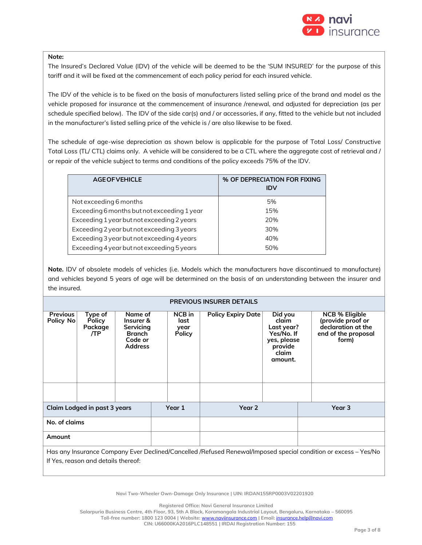

#### **Note:**

The Insured's Declared Value (IDV) of the vehicle will be deemed to be the 'SUM INSURED' for the purpose of this tariff and it will be fixed at the commencement of each policy period for each insured vehicle.

The IDV of the vehicle is to be fixed on the basis of manufacturers listed selling price of the brand and model as the vehicle proposed for insurance at the commencement of insurance /renewal, and adjusted for depreciation (as per schedule specified below). The IDV of the side car(s) and / or accessories, if any, fitted to the vehicle but not included in the manufacturer's listed selling price of the vehicle is / are also likewise to be fixed.

The schedule of age-wise depreciation as shown below is applicable for the purpose of Total Loss/ Constructive Total Loss (TL/ CTL) claims only. A vehicle will be considered to be a CTL where the aggregate cost of retrieval and / or repair of the vehicle subject to terms and conditions of the policy exceeds 75% of the IDV.

| <b>AGE OF VEHICLE</b>                       | % OF DEPRECIATION FOR FIXING<br><b>IDV</b> |
|---------------------------------------------|--------------------------------------------|
| Not exceeding 6 months                      | 5%                                         |
| Exceeding 6 months but not exceeding 1 year | 15%                                        |
| Exceeding 1 year but not exceeding 2 years  | 20%                                        |
| Exceeding 2 year but not exceeding 3 years  | 30%                                        |
| Exceeding 3 year but not exceeding 4 years  | 40%                                        |
| Exceeding 4 year but not exceeding 5 years  | 50%                                        |

**Note.** IDV of obsolete models of vehicles (i.e. Models which the manufacturers have discontinued to manufacture) and vehicles beyond 5 years of age will be determined on the basis of an understanding between the insurer and the insured.

| <b>PREVIOUS INSURER DETAILS</b>                                                                                 |                                            |                                                                                 |  |                                         |                           |                                                                                            |  |                                                                                                  |  |
|-----------------------------------------------------------------------------------------------------------------|--------------------------------------------|---------------------------------------------------------------------------------|--|-----------------------------------------|---------------------------|--------------------------------------------------------------------------------------------|--|--------------------------------------------------------------------------------------------------|--|
| <b>Previous</b><br>Policy No                                                                                    | Type of<br><b>Policy</b><br>Package<br>/TP | Name of<br>Insurer &<br>Servicing<br><b>Branch</b><br>Code or<br><b>Address</b> |  | NCB in<br>last<br>year<br><b>Policy</b> | <b>Policy Expiry Date</b> | Did you<br>claim<br>Last year?<br>Yes/No. If<br>yes, please<br>provide<br>claim<br>amount. |  | <b>NCB % Eligible</b><br>(provide proof or<br>declaration at the<br>end of the proposal<br>form) |  |
|                                                                                                                 | Claim Lodged in past 3 years               |                                                                                 |  | Year 1                                  | Year 2                    |                                                                                            |  | Year 3                                                                                           |  |
| No. of claims                                                                                                   |                                            |                                                                                 |  |                                         |                           |                                                                                            |  |                                                                                                  |  |
| Amount                                                                                                          |                                            |                                                                                 |  |                                         |                           |                                                                                            |  |                                                                                                  |  |
| Has any Insurance Company Ever Declined/Cancelled /Refused Renewal/Imposed special condition or excess – Yes/No |                                            |                                                                                 |  |                                         |                           |                                                                                            |  |                                                                                                  |  |
|                                                                                                                 | If Yes, reason and details thereof:        |                                                                                 |  |                                         |                           |                                                                                            |  |                                                                                                  |  |

**Navi Two-Wheeler Own-Damage Only Insurance | UIN: IRDAN155RP0003V02201920**

**Registered Office: Navi General Insurance Limited**

**Salarpuria Business Centre, 4th Floor, 93, 5th A Block, Koramangala Industrial Layout, Bengaluru, Karnataka – 560095**

**Toll-free number: 1800 123 0004 | Website:** [www.naviinsurance.com](http://www.naviinsurance.com/) **| Email:** [insurance.help@navi.com](mailto:insurance.help@navi.com)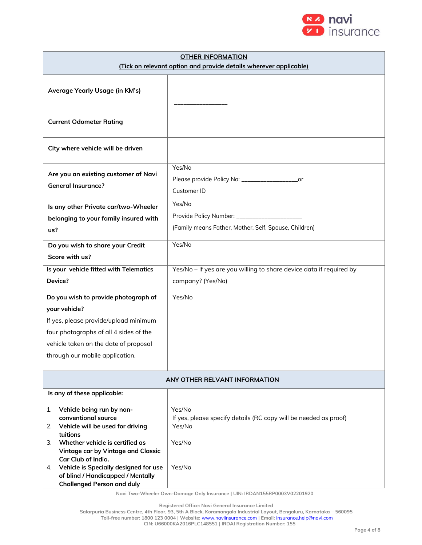

| <b>OTHER INFORMATION</b>                                                                                                                                                                                          |                                                                                                                  |  |  |  |  |
|-------------------------------------------------------------------------------------------------------------------------------------------------------------------------------------------------------------------|------------------------------------------------------------------------------------------------------------------|--|--|--|--|
| (Tick on relevant option and provide details wherever applicable)                                                                                                                                                 |                                                                                                                  |  |  |  |  |
| Average Yearly Usage (in KM's)                                                                                                                                                                                    |                                                                                                                  |  |  |  |  |
| <b>Current Odometer Rating</b>                                                                                                                                                                                    |                                                                                                                  |  |  |  |  |
| City where vehicle will be driven                                                                                                                                                                                 |                                                                                                                  |  |  |  |  |
| Are you an existing customer of Navi<br><b>General Insurance?</b>                                                                                                                                                 | Yes/No<br>Please provide Policy No: ______________________or<br>Customer ID                                      |  |  |  |  |
| Is any other Private car/two-Wheeler<br>belonging to your family insured with<br>us?                                                                                                                              | Yes/No<br>Provide Policy Number: ______________________<br>(Family means Father, Mother, Self, Spouse, Children) |  |  |  |  |
| Do you wish to share your Credit                                                                                                                                                                                  | Yes/No                                                                                                           |  |  |  |  |
| Score with us?                                                                                                                                                                                                    |                                                                                                                  |  |  |  |  |
| Is your vehicle fitted with Telematics                                                                                                                                                                            | Yes/No - If yes are you willing to share device data if required by                                              |  |  |  |  |
| Device?                                                                                                                                                                                                           | company? (Yes/No)                                                                                                |  |  |  |  |
| Do you wish to provide photograph of                                                                                                                                                                              | Yes/No                                                                                                           |  |  |  |  |
| your vehicle?                                                                                                                                                                                                     |                                                                                                                  |  |  |  |  |
| If yes, please provide/upload minimum                                                                                                                                                                             |                                                                                                                  |  |  |  |  |
| four photographs of all 4 sides of the                                                                                                                                                                            |                                                                                                                  |  |  |  |  |
| vehicle taken on the date of proposal                                                                                                                                                                             |                                                                                                                  |  |  |  |  |
| through our mobile application.                                                                                                                                                                                   |                                                                                                                  |  |  |  |  |
| ANY OTHER RELVANT INFORMATION                                                                                                                                                                                     |                                                                                                                  |  |  |  |  |
| Is any of these applicable:                                                                                                                                                                                       |                                                                                                                  |  |  |  |  |
| Vehicle being run by non-<br>1.<br>conventional source<br>Vehicle will be used for driving<br>2.<br>tuitions<br>Whether vehicle is certified as<br>3.<br>Vintage car by Vintage and Classic<br>Car Club of India. | Yes/No<br>If yes, please specify details (RC copy will be needed as proof)<br>Yes/No<br>Yes/No                   |  |  |  |  |
| 4. Vehicle is Specially designed for use<br>of blind / Handicapped / Mentally<br><b>Challenged Person and duly</b>                                                                                                | Yes/No                                                                                                           |  |  |  |  |

**Navi Two-Wheeler Own-Damage Only Insurance | UIN: IRDAN155RP0003V02201920**

**Registered Office: Navi General Insurance Limited**

**Salarpuria Business Centre, 4th Floor, 93, 5th A Block, Koramangala Industrial Layout, Bengaluru, Karnataka – 560095 Toll-free number: 1800 123 0004 | Website:** [www.naviinsurance.com](http://www.naviinsurance.com/) **| Email:** [insurance.help@navi.com](mailto:insurance.help@navi.com)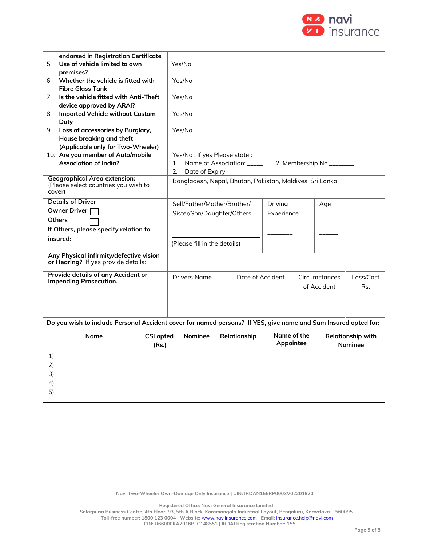

|                                       | endorsed in Registration Certificate                                                                           |                  |                                        |                                                          |  |                            |     |             |                   |                   |
|---------------------------------------|----------------------------------------------------------------------------------------------------------------|------------------|----------------------------------------|----------------------------------------------------------|--|----------------------------|-----|-------------|-------------------|-------------------|
| Use of vehicle limited to own<br>5.   |                                                                                                                |                  | Yes/No                                 |                                                          |  |                            |     |             |                   |                   |
|                                       | premises?                                                                                                      |                  |                                        |                                                          |  |                            |     |             |                   |                   |
| 6.                                    | Whether the vehicle is fitted with                                                                             |                  |                                        | Yes/No                                                   |  |                            |     |             |                   |                   |
|                                       | <b>Fibre Glass Tank</b>                                                                                        |                  |                                        |                                                          |  |                            |     |             |                   |                   |
| 7.                                    | Is the vehicle fitted with Anti-Theft                                                                          |                  |                                        | Yes/No                                                   |  |                            |     |             |                   |                   |
|                                       | device approved by ARAI?                                                                                       |                  |                                        |                                                          |  |                            |     |             |                   |                   |
| 8.                                    | <b>Imported Vehicle without Custom</b><br>Duty                                                                 |                  |                                        | Yes/No                                                   |  |                            |     |             |                   |                   |
|                                       | 9. Loss of accessories by Burglary,                                                                            |                  |                                        | Yes/No                                                   |  |                            |     |             |                   |                   |
|                                       | House breaking and theft                                                                                       |                  |                                        |                                                          |  |                            |     |             |                   |                   |
|                                       | (Applicable only for Two-Wheeler)                                                                              |                  |                                        |                                                          |  |                            |     |             |                   |                   |
|                                       | 10. Are you member of Auto/mobile                                                                              |                  |                                        | Yes/No, If yes Please state:                             |  |                            |     |             |                   |                   |
|                                       | Association of India?                                                                                          |                  | 1.                                     |                                                          |  | Name of Association: _____ |     |             | 2. Membership No. |                   |
|                                       |                                                                                                                |                  | 2.                                     | Date of Expiry_                                          |  |                            |     |             |                   |                   |
| cover)                                | <b>Geographical Area extension:</b><br>(Please select countries you wish to                                    |                  |                                        | Bangladesh, Nepal, Bhutan, Pakistan, Maldives, Sri Lanka |  |                            |     |             |                   |                   |
|                                       | <b>Details of Driver</b>                                                                                       |                  | Self/Father/Mother/Brother/<br>Driving |                                                          |  |                            | Age |             |                   |                   |
|                                       | Owner Driver                                                                                                   |                  | Sister/Son/Daughter/Others             |                                                          |  | Experience                 |     |             |                   |                   |
| <b>Others</b>                         |                                                                                                                |                  |                                        |                                                          |  |                            |     |             |                   |                   |
| If Others, please specify relation to |                                                                                                                |                  |                                        |                                                          |  |                            |     |             |                   |                   |
|                                       | insured:                                                                                                       |                  |                                        | (Please fill in the details)                             |  |                            |     |             |                   |                   |
|                                       |                                                                                                                |                  |                                        |                                                          |  |                            |     |             |                   |                   |
|                                       | Any Physical infirmity/defective vision<br>or Hearing? If yes provide details:                                 |                  |                                        |                                                          |  |                            |     |             |                   |                   |
|                                       | Provide details of any Accident or                                                                             |                  |                                        | <b>Drivers Name</b>                                      |  | Date of Accident           |     |             | Circumstances     | Loss/Cost         |
|                                       | Impending Prosecution.                                                                                         |                  |                                        |                                                          |  |                            |     | of Accident |                   | Rs.               |
|                                       |                                                                                                                |                  |                                        |                                                          |  |                            |     |             |                   |                   |
|                                       |                                                                                                                |                  |                                        |                                                          |  |                            |     |             |                   |                   |
|                                       |                                                                                                                |                  |                                        |                                                          |  |                            |     |             |                   |                   |
|                                       | Do you wish to include Personal Accident cover for named persons? If YES, give name and Sum Insured opted for: |                  |                                        |                                                          |  |                            |     |             |                   |                   |
|                                       | Name                                                                                                           | <b>CSI opted</b> |                                        | <b>Nominee</b>                                           |  | Relationship               |     | Name of the |                   | Relationship with |
|                                       |                                                                                                                | (Rs.)            |                                        |                                                          |  |                            |     | Appointee   |                   | <b>Nominee</b>    |
| 1)                                    |                                                                                                                |                  |                                        |                                                          |  |                            |     |             |                   |                   |
| 2)                                    |                                                                                                                |                  |                                        |                                                          |  |                            |     |             |                   |                   |
| 3)                                    |                                                                                                                |                  |                                        |                                                          |  |                            |     |             |                   |                   |
|                                       |                                                                                                                |                  |                                        |                                                          |  |                            |     |             |                   |                   |
| 4)                                    |                                                                                                                |                  |                                        |                                                          |  |                            |     |             |                   |                   |
| 5)                                    |                                                                                                                |                  |                                        |                                                          |  |                            |     |             |                   |                   |

**Navi Two-Wheeler Own-Damage Only Insurance | UIN: IRDAN155RP0003V02201920**

**Registered Office: Navi General Insurance Limited**

**Salarpuria Business Centre, 4th Floor, 93, 5th A Block, Koramangala Industrial Layout, Bengaluru, Karnataka – 560095 Toll-free number: 1800 123 0004 | Website:** [www.naviinsurance.com](http://www.naviinsurance.com/) **| Email:** [insurance.help@navi.com](mailto:insurance.help@navi.com)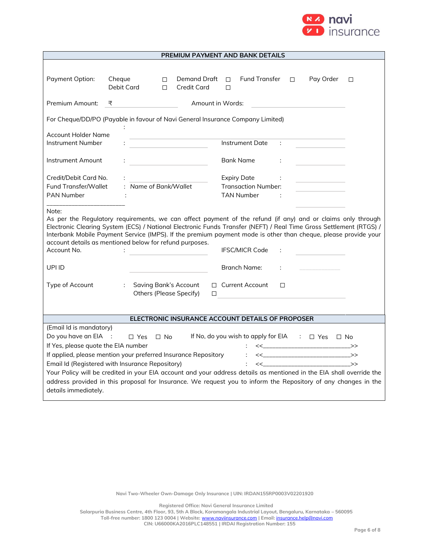

| PREMIUM PAYMENT AND BANK DETAILS                                                                                                                                                                                                                                                                                                                                                                                                                                                                                |                                                                            |                                                                                                                |   |  |  |  |
|-----------------------------------------------------------------------------------------------------------------------------------------------------------------------------------------------------------------------------------------------------------------------------------------------------------------------------------------------------------------------------------------------------------------------------------------------------------------------------------------------------------------|----------------------------------------------------------------------------|----------------------------------------------------------------------------------------------------------------|---|--|--|--|
| Payment Option:                                                                                                                                                                                                                                                                                                                                                                                                                                                                                                 | Cheque<br>Demand Draft<br>П.<br>Debit Card<br><b>Credit Card</b><br>$\Box$ | <b>Fund Transfer</b><br>Pay Order<br>П.<br>$\Box$<br>П                                                         | □ |  |  |  |
| Premium Amount:                                                                                                                                                                                                                                                                                                                                                                                                                                                                                                 | ₹                                                                          | Amount in Words:                                                                                               |   |  |  |  |
| For Cheque/DD/PO (Payable in favour of Navi General Insurance Company Limited)                                                                                                                                                                                                                                                                                                                                                                                                                                  |                                                                            |                                                                                                                |   |  |  |  |
| <b>Account Holder Name</b>                                                                                                                                                                                                                                                                                                                                                                                                                                                                                      |                                                                            |                                                                                                                |   |  |  |  |
| Instrument Number                                                                                                                                                                                                                                                                                                                                                                                                                                                                                               | <u> 1980 - Johann Barbara, martxa a</u>                                    | Instrument Date                                                                                                |   |  |  |  |
| Instrument Amount                                                                                                                                                                                                                                                                                                                                                                                                                                                                                               |                                                                            | Bank Name                                                                                                      |   |  |  |  |
| Credit/Debit Card No.<br>Fund Transfer/Wallet                                                                                                                                                                                                                                                                                                                                                                                                                                                                   | : Name of Bank/Wallet                                                      | <b>Expiry Date</b><br><b>Transaction Number:</b>                                                               |   |  |  |  |
| <b>PAN Number</b>                                                                                                                                                                                                                                                                                                                                                                                                                                                                                               |                                                                            | <b>TAN Number</b>                                                                                              |   |  |  |  |
| Note:<br>As per the Regulatory requirements, we can affect payment of the refund (if any) and or claims only through<br>Electronic Clearing System (ECS) / National Electronic Funds Transfer (NEFT) / Real Time Gross Settlement (RTGS) /<br>Interbank Mobile Payment Service (IMPS). If the premium payment mode is other than cheque, please provide your<br>account details as mentioned below for refund purposes.<br>Account No.<br><b>IFSC/MICR Code</b>                                                 |                                                                            |                                                                                                                |   |  |  |  |
| UPI ID                                                                                                                                                                                                                                                                                                                                                                                                                                                                                                          |                                                                            | Branch Name:                                                                                                   |   |  |  |  |
| Type of Account                                                                                                                                                                                                                                                                                                                                                                                                                                                                                                 | <b>Saving Bank's Account</b><br>÷<br><b>Others (Please Specify)</b>        | $\Box$ Current Account<br>П<br>$\Box$                                                                          |   |  |  |  |
|                                                                                                                                                                                                                                                                                                                                                                                                                                                                                                                 |                                                                            |                                                                                                                |   |  |  |  |
| ELECTRONIC INSURANCE ACCOUNT DETAILS OF PROPOSER                                                                                                                                                                                                                                                                                                                                                                                                                                                                |                                                                            |                                                                                                                |   |  |  |  |
| (Email Id is mandatory)<br>Do you have an EIA :<br>If No, do you wish to apply for EIA : $\Box$ Yes $\Box$ No<br>$\Box$ No<br>$\Box$ Yes<br>If Yes, please quote the EIA number<br>If applied, please mention your preferred Insurance Repository<br>$\ll$ $\rightarrow$<br>$\mathcal{L}^{\text{max}}$<br>Email Id (Registered with Insurance Repository)<br>$<<$ $>>$<br>$\mathcal{L}$<br>Your Policy will be credited in your EIA account and your address details as mentioned in the EIA shall override the |                                                                            |                                                                                                                |   |  |  |  |
| details immediately.                                                                                                                                                                                                                                                                                                                                                                                                                                                                                            |                                                                            | address provided in this proposal for Insurance. We request you to inform the Repository of any changes in the |   |  |  |  |

**Registered Office: Navi General Insurance Limited**

**Salarpuria Business Centre, 4th Floor, 93, 5th A Block, Koramangala Industrial Layout, Bengaluru, Karnataka – 560095 Toll-free number: 1800 123 0004 | Website:** [www.naviinsurance.com](http://www.naviinsurance.com/) **| Email:** [insurance.help@navi.com](mailto:insurance.help@navi.com)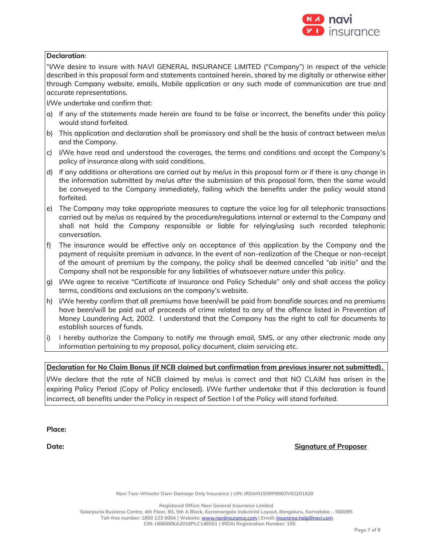

#### **Declaration**:

"I/We desire to insure with NAVI GENERAL INSURANCE LIMITED ("Company") in respect of the vehicle described in this proposal form and statements contained herein, shared by me digitally or otherwise either through Company website, emails, Mobile application or any such mode of communication are true and accurate representations.

I/We undertake and confirm that:

- a) If any of the statements made herein are found to be false or incorrect, the benefits under this policy would stand forfeited.
- b) This application and declaration shall be promissory and shall be the basis of contract between me/us and the Company.
- c) I/We have read and understood the coverages, the terms and conditions and accept the Company's policy of insurance along with said conditions.
- d) If any additions or alterations are carried out by me/us in this proposal form or if there is any change in the information submitted by me/us after the submission of this proposal form, then the same would be conveyed to the Company immediately, failing which the benefits under the policy would stand forfeited.
- e) The Company may take appropriate measures to capture the voice log for all telephonic transactions carried out by me/us as required by the procedure/regulations internal or external to the Company and shall not hold the Company responsible or liable for relying/using such recorded telephonic conversation.
- f) The insurance would be effective only on acceptance of this application by the Company and the payment of requisite premium in advance. In the event of non-realization of the Cheque or non-receipt of the amount of premium by the company, the policy shall be deemed cancelled "ab initio" and the Company shall not be responsible for any liabilities of whatsoever nature under this policy.
- g) I/We agree to receive "Certificate of Insurance and Policy Schedule" only and shall access the policy terms, conditions and exclusions on the company's website.
- h) I/We hereby confirm that all premiums have been/will be paid from bonafide sources and no premiums have been/will be paid out of proceeds of crime related to any of the offence listed in Prevention of Money Laundering Act, 2002. I understand that the Company has the right to call for documents to establish sources of funds.
- i) I hereby authorize the Company to notify me through email, SMS, or any other electronic mode any information pertaining to my proposal, policy document, claim servicing etc.

### **Declaration for No Claim Bonus (if NCB claimed but confirmation from previous insurer not submitted).**

I/We declare that the rate of NCB claimed by me/us is correct and that NO CLAIM has arisen in the expiring Policy Period (Copy of Policy enclosed). I/We further undertake that if this declaration is found incorrect, all benefits under the Policy in respect of Section I of the Policy will stand forfeited.

**Place:**

**Date: Signature of Proposer**

**Navi Two-Wheeler Own-Damage Only Insurance | UIN: IRDAN155RP0003V02201920**

**Registered Office: Navi General Insurance Limited**

**Salarpuria Business Centre, 4th Floor, 93, 5th A Block, Koramangala Industrial Layout, Bengaluru, Karnataka – 560095 Toll-free number: 1800 123 0004 | Website:** [www.naviinsurance.com](http://www.naviinsurance.com/) **| Email:** [insurance.help@navi.com](mailto:insurance.help@navi.com)